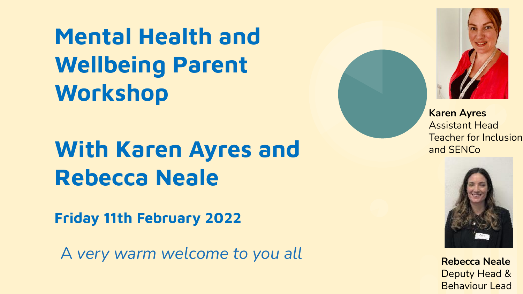**Mental Health and Wellbeing Parent Workshop**

## **With Karen Ayres and Rebecca Neale**

**Friday 11th February 2022**

A *very warm welcome to you all*



Assistant Head Teacher for Inclusion and SENCo



**Rebecca Neale** Deputy Head & Behaviour Lead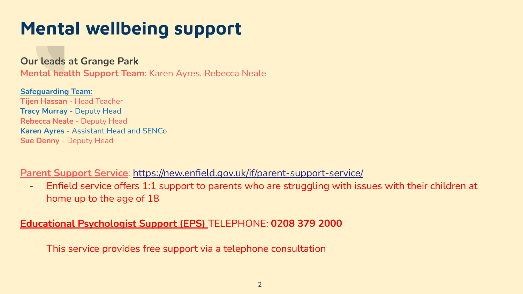### **Mental wellbeing support**

**Our leads at Grange Park**

**Mental health Support Team**: Karen Ayres, Rebecca Neale

**Safeguarding Team**: **Tijen Hassan** - Head Teacher **Tracy Murray** - Deputy Head **Rebecca Neale** - Deputy Head **Karen Ayres** - Assistant Head and SENCo **Sue Denny** - Deputy Head

**Parent Support Service**: <https://new.enfield.gov.uk/if/parent-support-service/>

- Enfield service offers 1:1 support to parents who are struggling with issues with their children at home up to the age of 18

**Educational Psychologist Support (EPS)** TELEPHONE: **0208 379 2000**

This service provides free support via a telephone consultation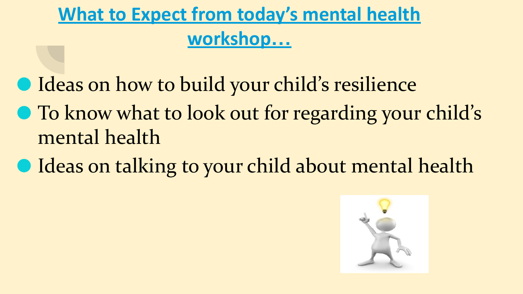### **What to Expect from today's mental health workshop…**

- Ideas on how to build your child's resilience
- To know what to look out for regarding your child's mental health
- Ideas on talking to your child about mental health

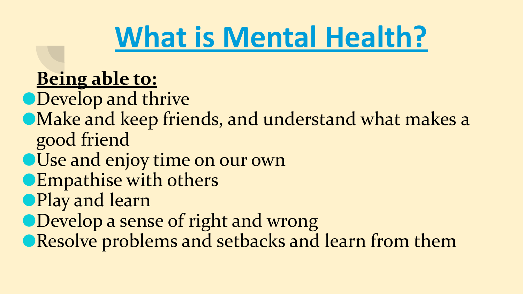# **What is Mental Health?**

### **Being able to:**

⚫Develop and thrive

- ⚫Make and keep friends, and understand what makes a good friend
- ⚫Use and enjoy time on our own
- ⚫Empathise with others
- ⚫Play and learn
- ●Develop a sense of right and wrong
- ⚫Resolve problems and setbacks and learn from them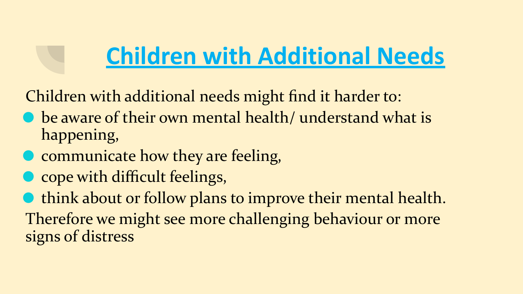# **Children with Additional Needs**

Children with additional needs might find it harder to:

- be aware of their own mental health/ understand what is happening,
- ⚫ communicate how they are feeling,
- ⚫ cope with difficult feelings,

⚫ think about or follow plans to improve their mental health. Therefore we might see more challenging behaviour or more signs of distress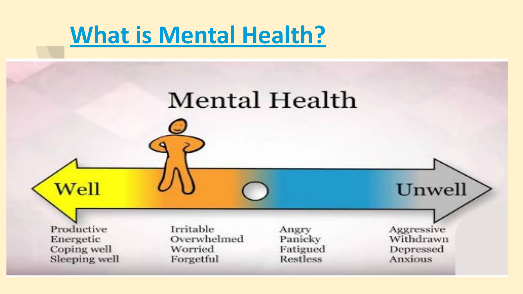## **What is Mental Health?**

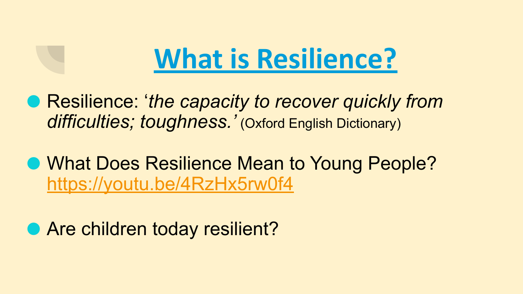# **What is Resilience?**

- Resilience: 'the capacity to recover quickly from *difficulties; toughness.'* (Oxford English Dictionary)
- What Does Resilience Mean to Young People? <https://youtu.be/4RzHx5rw0f4>

● Are children today resilient?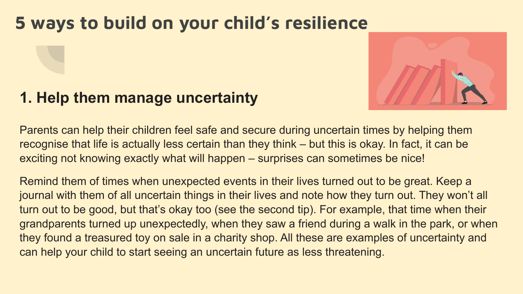### **5 ways to build on your child's resilience**

### **1. Help them manage uncertainty**



Parents can help their children feel safe and secure during uncertain times by helping them recognise that life is actually less certain than they think – but this is okay. In fact, it can be exciting not knowing exactly what will happen – surprises can sometimes be nice!

Remind them of times when unexpected events in their lives turned out to be great. Keep a journal with them of all uncertain things in their lives and note how they turn out. They won't all turn out to be good, but that's okay too (see the second tip). For example, that time when their grandparents turned up unexpectedly, when they saw a friend during a walk in the park, or when they found a treasured toy on sale in a charity shop. All these are examples of uncertainty and can help your child to start seeing an uncertain future as less threatening.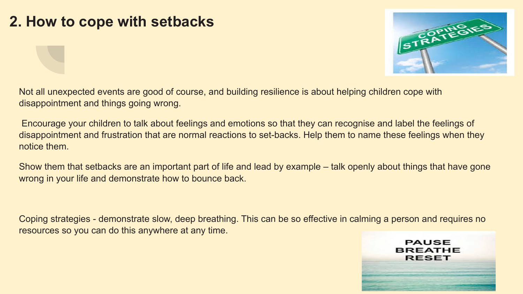### **2. How to cope with setbacks**



Not all unexpected events are good of course, and building resilience is about helping children cope with disappointment and things going wrong.

 Encourage your children to talk about feelings and emotions so that they can recognise and label the feelings of disappointment and frustration that are normal reactions to set-backs. Help them to name these feelings when they notice them.

Show them that setbacks are an important part of life and lead by example – talk openly about things that have gone wrong in your life and demonstrate how to bounce back.

Coping strategies - demonstrate slow, deep breathing. This can be so effective in calming a person and requires no resources so you can do this anywhere at any time.

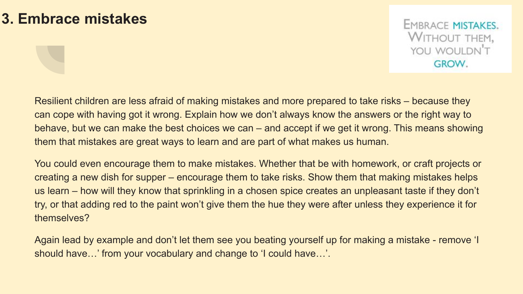#### **3. Embrace mistakes**

**EMBRACE MISTAKES. WITHOUT THEM,** YOU WOULDN'T **GROW.** 

Resilient children are less afraid of making mistakes and more prepared to take risks – because they can cope with having got it wrong. Explain how we don't always know the answers or the right way to behave, but we can make the best choices we can – and accept if we get it wrong. This means showing them that mistakes are great ways to learn and are part of what makes us human.

You could even encourage them to make mistakes. Whether that be with homework, or craft projects or creating a new dish for supper – encourage them to take risks. Show them that making mistakes helps us learn – how will they know that sprinkling in a chosen spice creates an unpleasant taste if they don't try, or that adding red to the paint won't give them the hue they were after unless they experience it for themselves?

Again lead by example and don't let them see you beating yourself up for making a mistake - remove 'I should have…' from your vocabulary and change to 'I could have…'.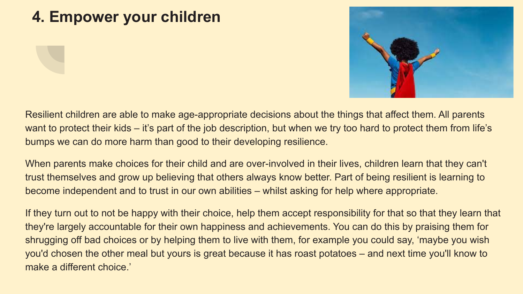### **4. Empower your children**



Resilient children are able to make age-appropriate decisions about the things that affect them. All parents want to protect their kids – it's part of the job description, but when we try too hard to protect them from life's bumps we can do more harm than good to their developing resilience.

When parents make choices for their child and are over-involved in their lives, children learn that they can't trust themselves and grow up believing that others always know better. Part of being resilient is learning to become independent and to trust in our own abilities – whilst asking for help where appropriate.

If they turn out to not be happy with their choice, help them accept responsibility for that so that they learn that they're largely accountable for their own happiness and achievements. You can do this by praising them for shrugging off bad choices or by helping them to live with them, for example you could say, 'maybe you wish you'd chosen the other meal but yours is great because it has roast potatoes – and next time you'll know to make a different choice.'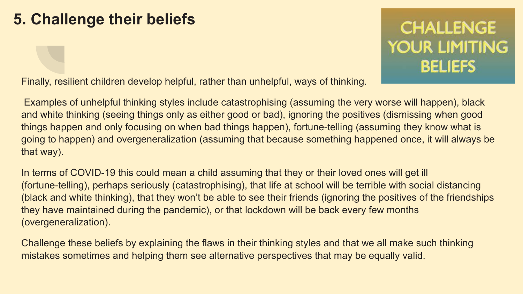### **5. Challenge their beliefs**

### **CHALLENGE YOUR LIMITING BELIEFS**

Finally, resilient children develop helpful, rather than unhelpful, ways of thinking.

 Examples of unhelpful thinking styles include catastrophising (assuming the very worse will happen), black and white thinking (seeing things only as either good or bad), ignoring the positives (dismissing when good things happen and only focusing on when bad things happen), fortune-telling (assuming they know what is going to happen) and overgeneralization (assuming that because something happened once, it will always be that way).

In terms of COVID-19 this could mean a child assuming that they or their loved ones will get ill (fortune-telling), perhaps seriously (catastrophising), that life at school will be terrible with social distancing (black and white thinking), that they won't be able to see their friends (ignoring the positives of the friendships they have maintained during the pandemic), or that lockdown will be back every few months (overgeneralization).

Challenge these beliefs by explaining the flaws in their thinking styles and that we all make such thinking mistakes sometimes and helping them see alternative perspectives that may be equally valid.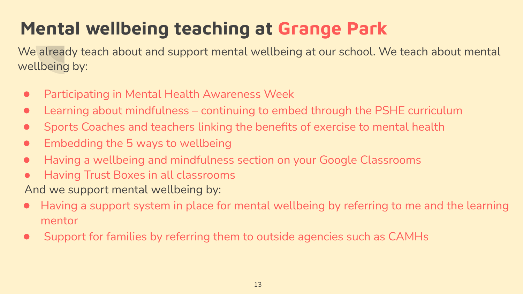### **Mental wellbeing teaching at Grange Park**

We already teach about and support mental wellbeing at our school. We teach about mental wellbeing by:

- Participating in Mental Health Awareness Week
- Learning about mindfulness continuing to embed through the PSHE curriculum
- Sports Coaches and teachers linking the benefits of exercise to mental health
- Embedding the 5 ways to wellbeing
- Having a wellbeing and mindfulness section on your Google Classrooms
- Having Trust Boxes in all classrooms

And we support mental wellbeing by:

- Having a support system in place for mental wellbeing by referring to me and the learning mentor
- Support for families by referring them to outside agencies such as CAMHs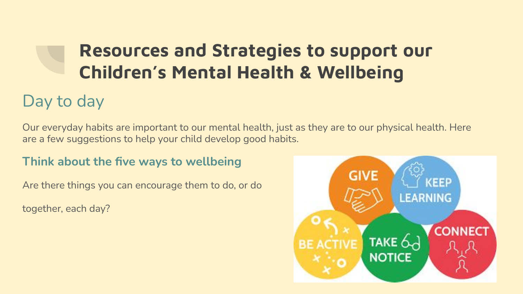### **Resources and Strategies to support our Children's Mental Health & Wellbeing**

### Day to day

Our everyday habits are important to our mental health, just as they are to our physical health. Here are a few suggestions to help your child develop good habits.

#### **Think about the five ways to wellbeing**

Are there things you can encourage them to do, or do

together, each day?

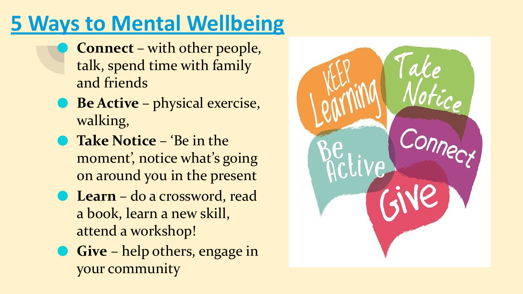## **5 Ways to Mental Wellbeing**

- ⚫ **Connect**  with other people, talk, spend time with family and friends
- ⚫ **Be Active**  physical exercise, walking,
- ⚫ **Take Notice**  'Be in the moment', notice what's going on around you in the present
- ⚫ **Learn**  do a crossword, read a book, learn a new skill, attend a workshop!
- ⚫ **Give** help others, engage in your community

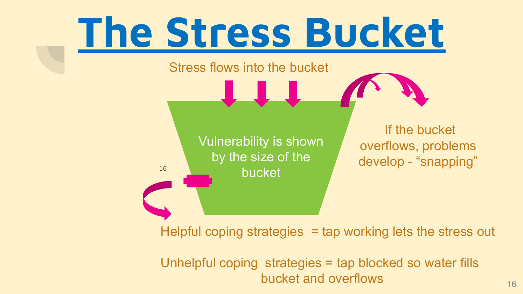

 Unhelpful coping strategies = tap blocked so water fills bucket and overflows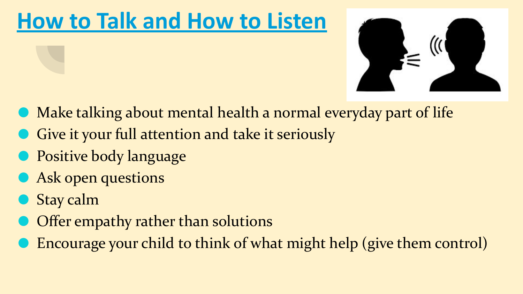## **How to Talk and How to Listen**



- ⚫ Make talking about mental health a normal everyday part of life
- Give it your full attention and take it seriously
- **Positive body language**
- ⚫ Ask open questions
- Stay calm
- ⚫ Offer empathy rather than solutions
- ⚫ Encourage your child to think of what might help (give them control)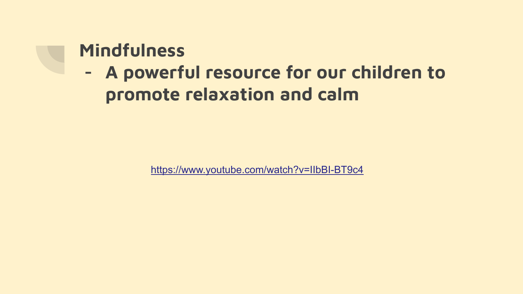### **Mindfulness**

### **- A powerful resource for our children to promote relaxation and calm**

<https://www.youtube.com/watch?v=IIbBI-BT9c4>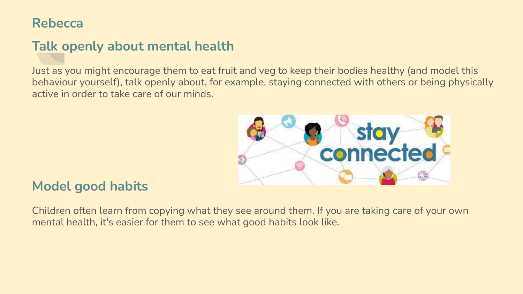#### **Rebecca**

#### **Talk openly about mental health**

Just as you might encourage them to eat fruit and veg to keep their bodies healthy (and model this behaviour yourself), talk openly about, for example, staying connected with others or being physically active in order to take care of our minds.



#### **Model good habits**

Children often learn from copying what they see around them. If you are taking care of your own mental health, it's easier for them to see what good habits look like.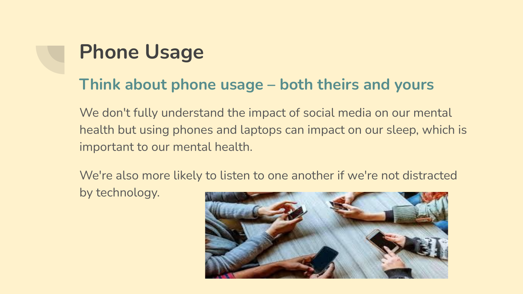## **Phone Usage**

### **Think about phone usage – both theirs and yours**

We don't fully understand the impact of social media on our mental health but using phones and laptops can impact on our sleep, which is important to our mental health.

We're also more likely to listen to one another if we're not distracted by technology.

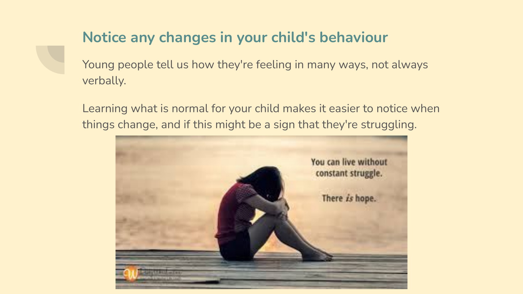#### **Notice any changes in your child's behaviour**

Young people tell us how they're feeling in many ways, not always verbally.

Learning what is normal for your child makes it easier to notice when things change, and if this might be a sign that they're struggling.

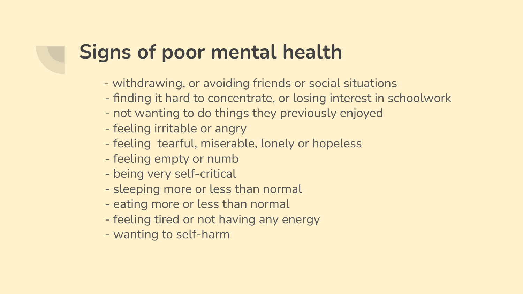### **Signs of poor mental health**

- withdrawing, or avoiding friends or social situations
- finding it hard to concentrate, or losing interest in schoolwork
- not wanting to do things they previously enjoyed
- feeling irritable or angry
- feeling tearful, miserable, lonely or hopeless
- feeling empty or numb
- being very self-critical
- sleeping more or less than normal
- eating more or less than normal
- feeling tired or not having any energy
- wanting to self-harm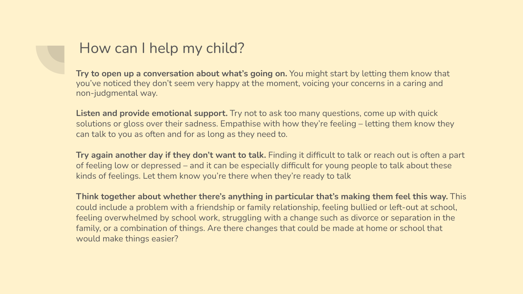#### How can I help my child?

**Try to open up a conversation about what's going on.** You might start by letting them know that you've noticed they don't seem very happy at the moment, voicing your concerns in a caring and non-judgmental way.

**Listen and provide emotional support.** Try not to ask too many questions, come up with quick solutions or gloss over their sadness. Empathise with how they're feeling – letting them know they can talk to you as often and for as long as they need to.

**Try again another day if they don't want to talk.** Finding it difficult to talk or reach out is often a part of feeling low or depressed – and it can be especially difficult for young people to talk about these kinds of feelings. Let them know you're there when they're ready to talk

**Think together about whether there's anything in particular that's making them feel this way.** This could include a problem with a friendship or family relationship, feeling bullied or left-out at school, feeling overwhelmed by school work, struggling with a change such as divorce or separation in the family, or a combination of things. Are there changes that could be made at home or school that would make things easier?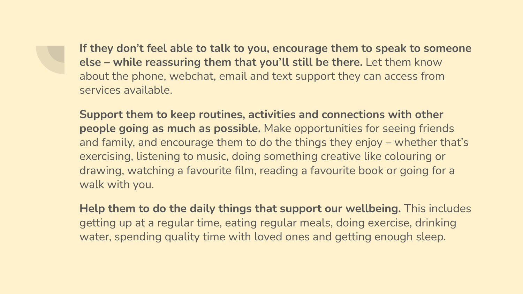**If they don't feel able to talk to you, encourage them to speak to someone else – while reassuring them that you'll still be there.** Let them know about the phone, webchat, email and text support they can access from services available.

**Support them to keep routines, activities and connections with other people going as much as possible.** Make opportunities for seeing friends and family, and encourage them to do the things they enjoy – whether that's exercising, listening to music, doing something creative like colouring or drawing, watching a favourite film, reading a favourite book or going for a walk with you.

**Help them to do the daily things that support our wellbeing.** This includes getting up at a regular time, eating regular meals, doing exercise, drinking water, spending quality time with loved ones and getting enough sleep.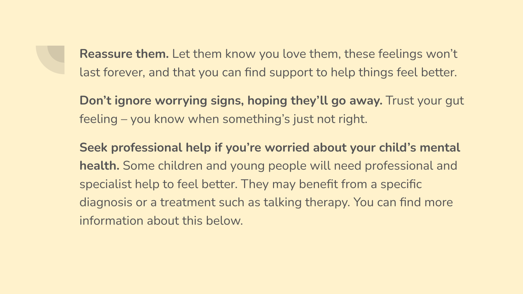**Reassure them.** Let them know you love them, these feelings won't last forever, and that you can find support to help things feel better.

**Don't ignore worrying signs, hoping they'll go away.** Trust your gut feeling – you know when something's just not right.

**Seek professional help if you're worried about your child's mental health.** Some children and young people will need professional and specialist help to feel better. They may benefit from a specific diagnosis or a treatment such as talking therapy. You can find more information about this below.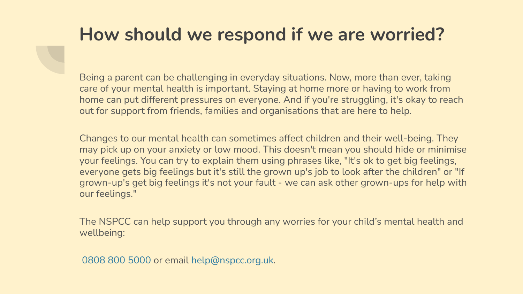### **How should we respond if we are worried?**

Being a parent can be challenging in everyday situations. Now, more than ever, taking care of your mental health is important. Staying at home more or having to work from home can put different pressures on everyone. And if you're struggling, it's okay to reach out for support from friends, families and organisations that are here to help.

Changes to our mental health can sometimes affect children and their well-being. They may pick up on your anxiety or low mood. This doesn't mean you should hide or minimise your feelings. You can try to explain them using phrases like, "It's ok to get big feelings, everyone gets big feelings but it's still the grown up's job to look after the children" or "If grown-up's get big feelings it's not your fault - we can ask other grown-ups for help with our feelings."

The NSPCC can help support you through any worries for your child's mental health and wellbeing:

0808 800 5000 or email help@nspcc.org.uk.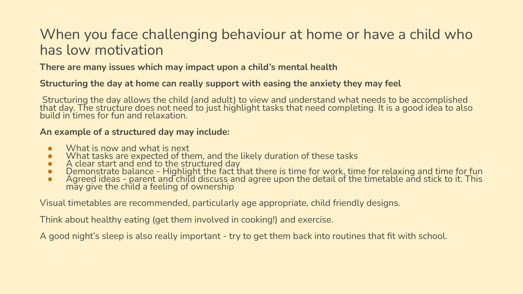#### When you face challenging behaviour at home or have a child who has low motivation

**There are many issues which may impact upon a child's mental health**

#### **Structuring the day at home can really support with easing the anxiety they may feel**

 Structuring the day allows the child (and adult) to view and understand what needs to be accomplished that day. The structure does not need to just highlight tasks that need completing. It is a good idea to also build in times for fun and relaxation.

#### **An example of a structured day may include:**

- What is now and what is next<br>● What tasks are expected of th
- What tasks are expected of them, and the likely duration of these tasks
- A clear start and end to the structured day
- Demonstrate balance Highlight the fact that there is time for work, time for relaxing and time for fun
- Agreed ideas parent and child discuss and agree upon the detail of the timetable and stick to it. This may give the child a feeling of ownership

Visual timetables are recommended, particularly age appropriate, child friendly designs.

Think about healthy eating (get them involved in cooking!) and exercise.

A good night's sleep is also really important - try to get them back into routines that fit with school.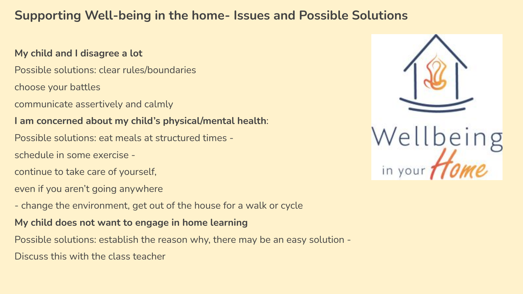#### **Supporting Well-being in the home- Issues and Possible Solutions**

#### **My child and I disagree a lot**

- Possible solutions: clear rules/boundaries
- choose your battles
- communicate assertively and calmly

#### **I am concerned about my child's physical/mental health**:

- Possible solutions: eat meals at structured times -
- schedule in some exercise -
- continue to take care of yourself,
- even if you aren't going anywhere
- change the environment, get out of the house for a walk or cycle
- **My child does not want to engage in home learning**
- Possible solutions: establish the reason why, there may be an easy solution -
- Discuss this with the class teacher

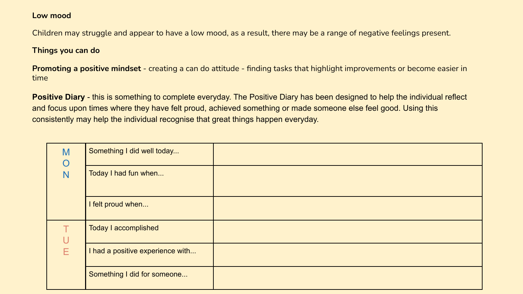#### **Low mood**

Children may struggle and appear to have a low mood, as a result, there may be a range of negative feelings present.

#### **Things you can do**

**Promoting a positive mindset** - creating a can do attitude - finding tasks that highlight improvements or become easier in time

**Positive Diary** - this is something to complete everyday. The Positive Diary has been designed to help the individual reflect and focus upon times where they have felt proud, achieved something or made someone else feel good. Using this consistently may help the individual recognise that great things happen everyday.

| M<br>$\overline{O}$<br>N | Something I did well today       |  |
|--------------------------|----------------------------------|--|
|                          | Today I had fun when             |  |
|                          | I felt proud when                |  |
| U<br>Ε                   | Today I accomplished             |  |
|                          | I had a positive experience with |  |
|                          | Something I did for someone      |  |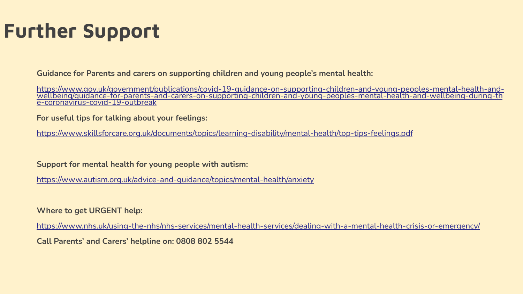### **Further Support**

**Guidance for Parents and carers on supporting children and young people's mental health:**

[https://www.gov.uk/government/publications/covid-19-guidance-on-supporting-children-and-young-peoples-mental-health-and-](https://www.gov.uk/government/publications/covid-19-guidance-on-supporting-children-and-young-peoples-mental-health-and-wellbeing/guidance-for-parents-and-carers-on-supporting-children-and-young-peoples-mental-health-and-wellbeing-during-the-coronavirus-covid-19-outbreak)<br>wellbeing/guidance-for-parents-and-carers-on-supporting-children-and-young-peoples-mental-health-and[e-coronavirus-covid-19-outbreak](https://www.gov.uk/government/publications/covid-19-guidance-on-supporting-children-and-young-peoples-mental-health-and-wellbeing/guidance-for-parents-and-carers-on-supporting-children-and-young-peoples-mental-health-and-wellbeing-during-the-coronavirus-covid-19-outbreak)

**For useful tips for talking about your feelings:**

<https://www.skillsforcare.org.uk/documents/topics/learning-disability/mental-health/top-tips-feelings.pdf>

**Support for mental health for young people with autism:**

<https://www.autism.org.uk/advice-and-guidance/topics/mental-health/anxiety>

**Where to get URGENT help:**

<https://www.nhs.uk/using-the-nhs/nhs-services/mental-health-services/dealing-with-a-mental-health-crisis-or-emergency/> **Call Parents' and Carers' helpline on: 0808 802 5544**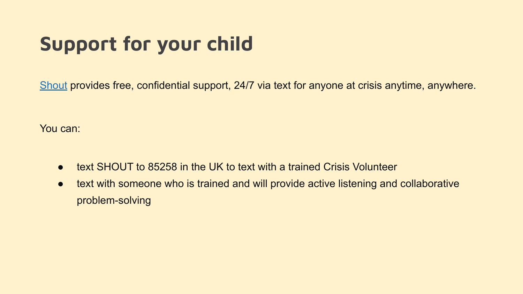## **Support for your child**

[Shout](https://www.crisistextline.uk/) provides free, confidential support, 24/7 via text for anyone at crisis anytime, anywhere.

You can:

- text SHOUT to 85258 in the UK to text with a trained Crisis Volunteer
- text with someone who is trained and will provide active listening and collaborative problem-solving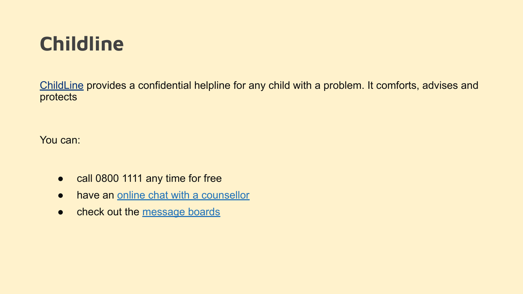### **Childline**

[ChildLine](https://www.childline.org.uk/Pages/Home.aspx) provides a confidential helpline for any child with a problem. It comforts, advises and protects

You can:

- call 0800 1111 any time for free
- have an [online chat with a counsellor](https://www.childline.org.uk/get-support/1-2-1-counsellor-chat/)
- check out the [message boards](https://www.childline.org.uk/get-support/message-boards/)